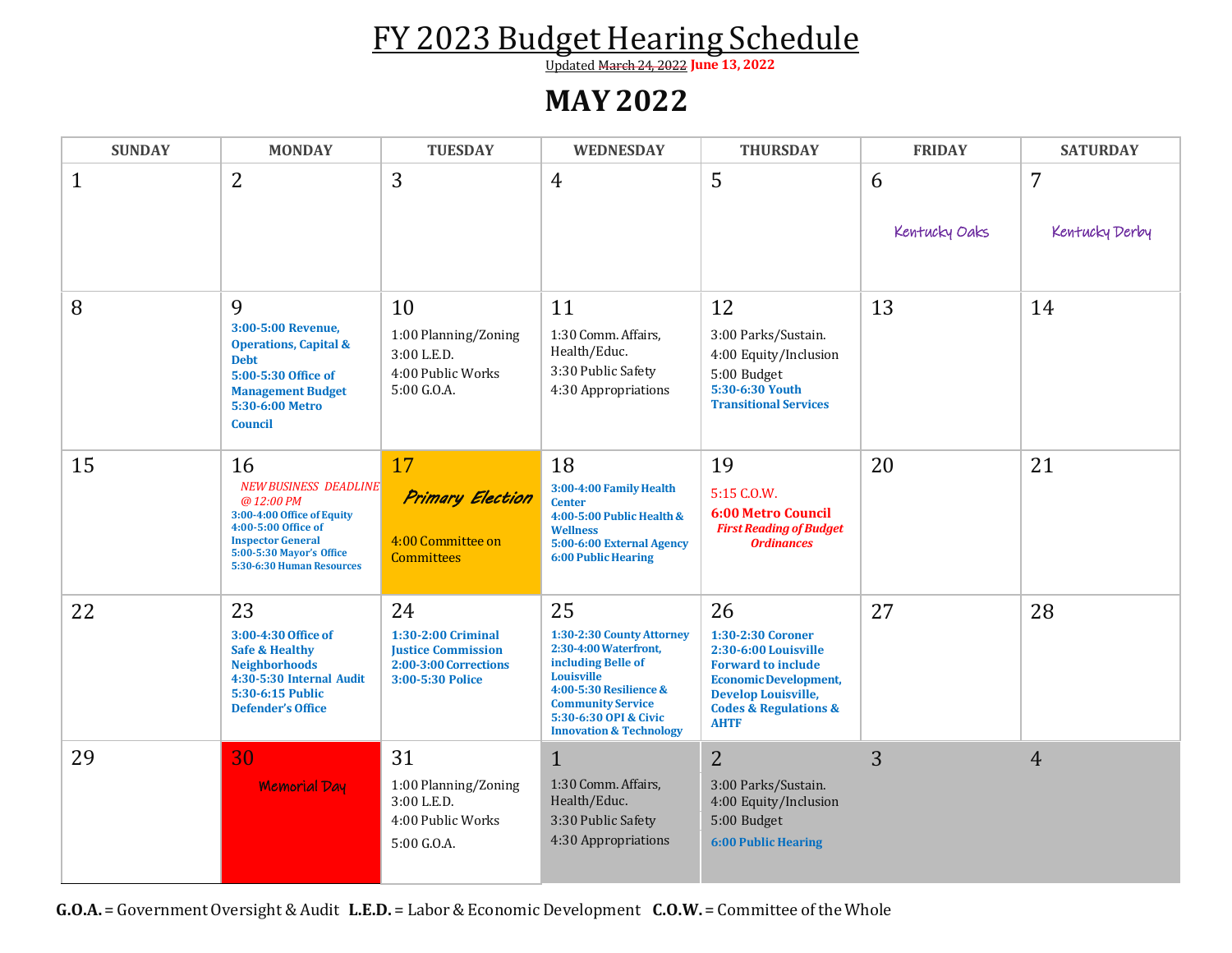## FY 2023 Budget Hearing Schedule

Updated March 24, 2022 **June 13, 2022**

## **MAY 2022**

| <b>SUNDAY</b> | <b>MONDAY</b>                                                                                                                                                                             | <b>TUESDAY</b>                                                                                     | <b>WEDNESDAY</b>                                                                                                                                                                                                  | <b>THURSDAY</b>                                                                                                                                                                                   | <b>FRIDAY</b>      | <b>SATURDAY</b>     |
|---------------|-------------------------------------------------------------------------------------------------------------------------------------------------------------------------------------------|----------------------------------------------------------------------------------------------------|-------------------------------------------------------------------------------------------------------------------------------------------------------------------------------------------------------------------|---------------------------------------------------------------------------------------------------------------------------------------------------------------------------------------------------|--------------------|---------------------|
| 1             | $\overline{2}$                                                                                                                                                                            | 3                                                                                                  | 4                                                                                                                                                                                                                 | 5                                                                                                                                                                                                 | 6<br>Kentucky Oaks | 7<br>Kentucky Derby |
| 8             | 9<br>3:00-5:00 Revenue,<br><b>Operations, Capital &amp;</b><br><b>Debt</b><br>5:00-5:30 Office of<br><b>Management Budget</b><br>5:30-6:00 Metro<br><b>Council</b>                        | 10<br>1:00 Planning/Zoning<br>3:00 L.E.D.<br>4:00 Public Works<br>5:00 G.O.A.                      | 11<br>1:30 Comm. Affairs,<br>Health/Educ.<br>3:30 Public Safety<br>4:30 Appropriations                                                                                                                            | 12<br>3:00 Parks/Sustain.<br>4:00 Equity/Inclusion<br>5:00 Budget<br>5:30-6:30 Youth<br><b>Transitional Services</b>                                                                              | 13                 | 14                  |
| 15            | 16<br><b>NEW BUSINESS DEADLINE</b><br>@12:00 PM<br>3:00-4:00 Office of Equity<br>4:00-5:00 Office of<br><b>Inspector General</b><br>5:00-5:30 Mayor's Office<br>5:30-6:30 Human Resources | 17<br><b>Primary Election</b><br>4:00 Committee on<br><b>Committees</b>                            | 18<br>3:00-4:00 Family Health<br><b>Center</b><br>4:00-5:00 Public Health &<br><b>Wellness</b><br>5:00-6:00 External Agency<br><b>6:00 Public Hearing</b>                                                         | 19<br>5:15 C.O.W.<br><b>6:00 Metro Council</b><br><b>First Reading of Budget</b><br><b>Ordinances</b>                                                                                             | 20                 | 21                  |
| 22            | 23<br>3:00-4:30 Office of<br><b>Safe &amp; Healthy</b><br><b>Neighborhoods</b><br>4:30-5:30 Internal Audit<br>5:30-6:15 Public<br><b>Defender's Office</b>                                | 24<br>1:30-2:00 Criminal<br><b>Justice Commission</b><br>2:00-3:00 Corrections<br>3:00-5:30 Police | 25<br>1:30-2:30 County Attorney<br>2:30-4:00 Waterfront,<br>including Belle of<br>Louisville<br>4:00-5:30 Resilience &<br><b>Community Service</b><br>5:30-6:30 OPI & Civic<br><b>Innovation &amp; Technology</b> | 26<br>1:30-2:30 Coroner<br>2:30-6:00 Louisville<br><b>Forward to include</b><br><b>Economic Development,</b><br><b>Develop Louisville,</b><br><b>Codes &amp; Regulations &amp;</b><br><b>AHTF</b> | 27                 | 28                  |
| 29            | 30<br><b>Memorial Day</b>                                                                                                                                                                 | 31<br>1:00 Planning/Zoning<br>3:00 L.E.D.<br>4:00 Public Works<br>5:00 G.O.A.                      | $\mathbf{1}$<br>1:30 Comm. Affairs,<br>Health/Educ.<br>3:30 Public Safety<br>4:30 Appropriations                                                                                                                  | $\overline{2}$<br>3:00 Parks/Sustain.<br>4:00 Equity/Inclusion<br>5:00 Budget<br><b>6:00 Public Hearing</b>                                                                                       | 3                  | $\overline{4}$      |